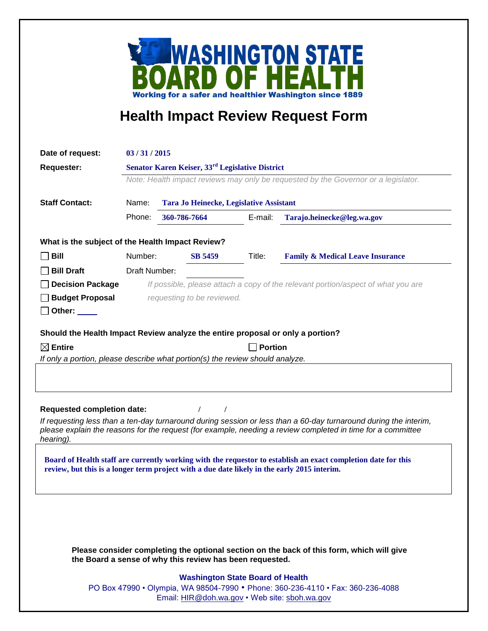

## **Health Impact Review Request Form**

| Date of request:                                 |                                                                                                                                                                 |                                                                                             |                |                                                                                                                                                                                                                                 |
|--------------------------------------------------|-----------------------------------------------------------------------------------------------------------------------------------------------------------------|---------------------------------------------------------------------------------------------|----------------|---------------------------------------------------------------------------------------------------------------------------------------------------------------------------------------------------------------------------------|
| <b>Requester:</b>                                | 03/31/2015<br>Senator Karen Keiser, 33 <sup>rd</sup> Legislative District<br>Note: Health impact reviews may only be requested by the Governor or a legislator. |                                                                                             |                |                                                                                                                                                                                                                                 |
|                                                  |                                                                                                                                                                 |                                                                                             |                |                                                                                                                                                                                                                                 |
|                                                  |                                                                                                                                                                 |                                                                                             |                |                                                                                                                                                                                                                                 |
| <b>Staff Contact:</b>                            | Name:<br><b>Tara Jo Heinecke, Legislative Assistant</b>                                                                                                         |                                                                                             |                |                                                                                                                                                                                                                                 |
|                                                  | Phone:                                                                                                                                                          | 360-786-7664                                                                                | E-mail:        | Tarajo.heinecke@leg.wa.gov                                                                                                                                                                                                      |
| What is the subject of the Health Impact Review? |                                                                                                                                                                 |                                                                                             |                |                                                                                                                                                                                                                                 |
| Bill                                             | Number:                                                                                                                                                         | <b>SB 5459</b>                                                                              | Title:         | <b>Family &amp; Medical Leave Insurance</b>                                                                                                                                                                                     |
| <b>Bill Draft</b>                                | Draft Number:                                                                                                                                                   |                                                                                             |                |                                                                                                                                                                                                                                 |
| <b>Decision Package</b>                          | If possible, please attach a copy of the relevant portion/aspect of what you are                                                                                |                                                                                             |                |                                                                                                                                                                                                                                 |
| <b>Budget Proposal</b>                           | requesting to be reviewed.                                                                                                                                      |                                                                                             |                |                                                                                                                                                                                                                                 |
| Other: $\_\_$                                    |                                                                                                                                                                 |                                                                                             |                |                                                                                                                                                                                                                                 |
|                                                  |                                                                                                                                                                 | Should the Health Impact Review analyze the entire proposal or only a portion?              |                |                                                                                                                                                                                                                                 |
| $\boxtimes$ Entire                               |                                                                                                                                                                 |                                                                                             | <b>Portion</b> |                                                                                                                                                                                                                                 |
|                                                  |                                                                                                                                                                 | If only a portion, please describe what portion(s) the review should analyze.               |                |                                                                                                                                                                                                                                 |
|                                                  |                                                                                                                                                                 |                                                                                             |                |                                                                                                                                                                                                                                 |
| <b>Requested completion date:</b>                |                                                                                                                                                                 | $\prime$                                                                                    |                |                                                                                                                                                                                                                                 |
| hearing).                                        |                                                                                                                                                                 |                                                                                             |                | If requesting less than a ten-day turnaround during session or less than a 60-day turnaround during the interim,<br>please explain the reasons for the request (for example, needing a review completed in time for a committee |
|                                                  |                                                                                                                                                                 | review, but this is a longer term project with a due date likely in the early 2015 interim. |                | Board of Health staff are currently working with the requestor to establish an exact completion date for this                                                                                                                   |
|                                                  |                                                                                                                                                                 |                                                                                             |                |                                                                                                                                                                                                                                 |
|                                                  |                                                                                                                                                                 |                                                                                             |                |                                                                                                                                                                                                                                 |
|                                                  |                                                                                                                                                                 |                                                                                             |                |                                                                                                                                                                                                                                 |
|                                                  |                                                                                                                                                                 | the Board a sense of why this review has been requested.                                    |                | Please consider completing the optional section on the back of this form, which will give                                                                                                                                       |
|                                                  |                                                                                                                                                                 | <b>Washington State Board of Health</b>                                                     |                |                                                                                                                                                                                                                                 |
|                                                  | PO Box 47990 • Olympia, WA 98504-7990 • Phone: 360-236-4110 • Fax: 360-236-4088                                                                                 |                                                                                             |                |                                                                                                                                                                                                                                 |

Email: [HIR@doh.wa.gov](mailto:HIR@doh.wa.gov) • Web site: [sboh.wa.gov](http://www.sboh.wa.gov/hdcouncil/)